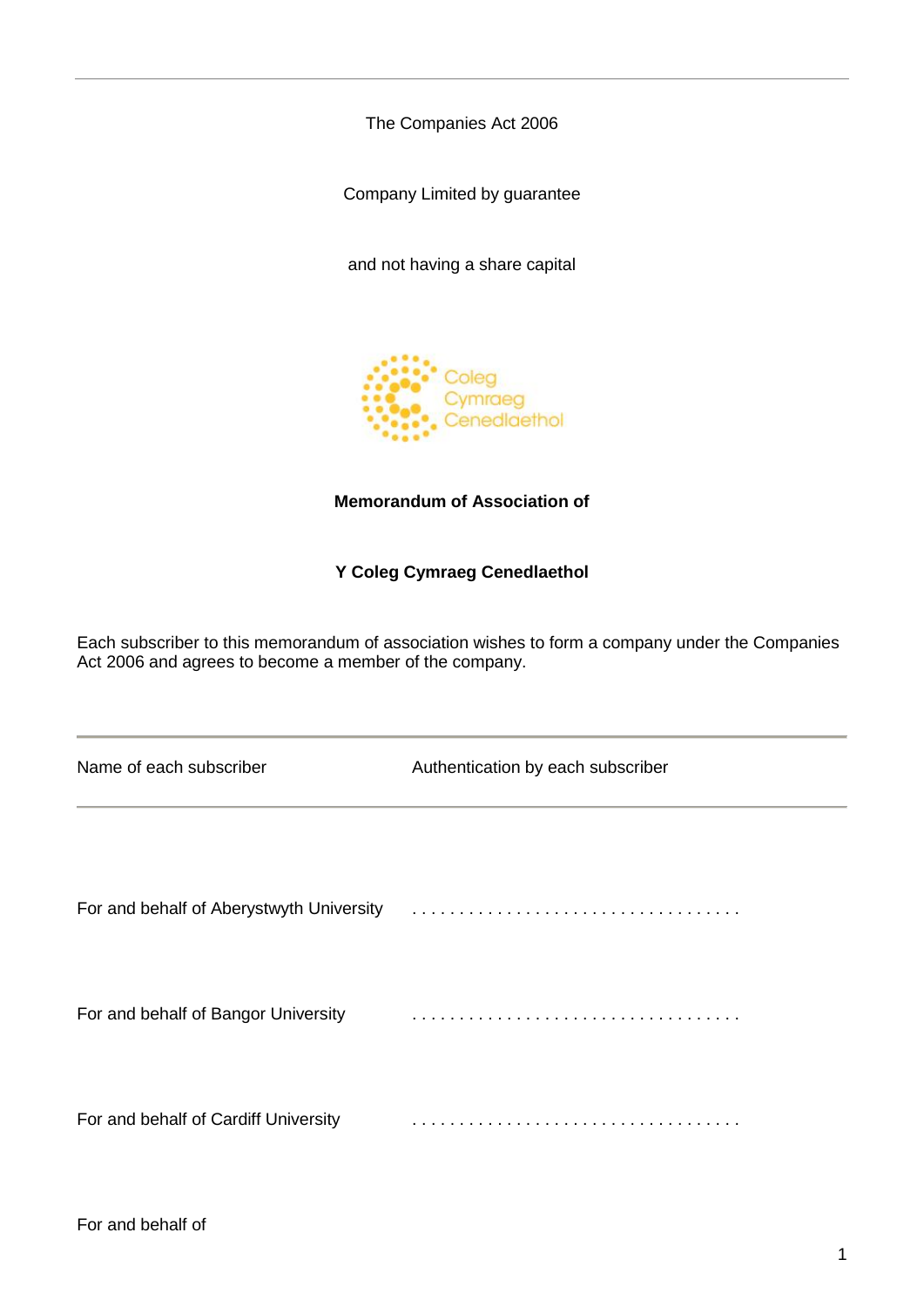The Companies Act 2006

Company Limited by guarantee

and not having a share capital



# **Memorandum of Association of**

# **Y Coleg Cymraeg Cenedlaethol**

Each subscriber to this memorandum of association wishes to form a company under the Companies Act 2006 and agrees to become a member of the company.

| Name of each subscriber                  | Authentication by each subscriber |
|------------------------------------------|-----------------------------------|
|                                          |                                   |
| For and behalf of Aberystwyth University |                                   |
| For and behalf of Bangor University      |                                   |
| For and behalf of Cardiff University     |                                   |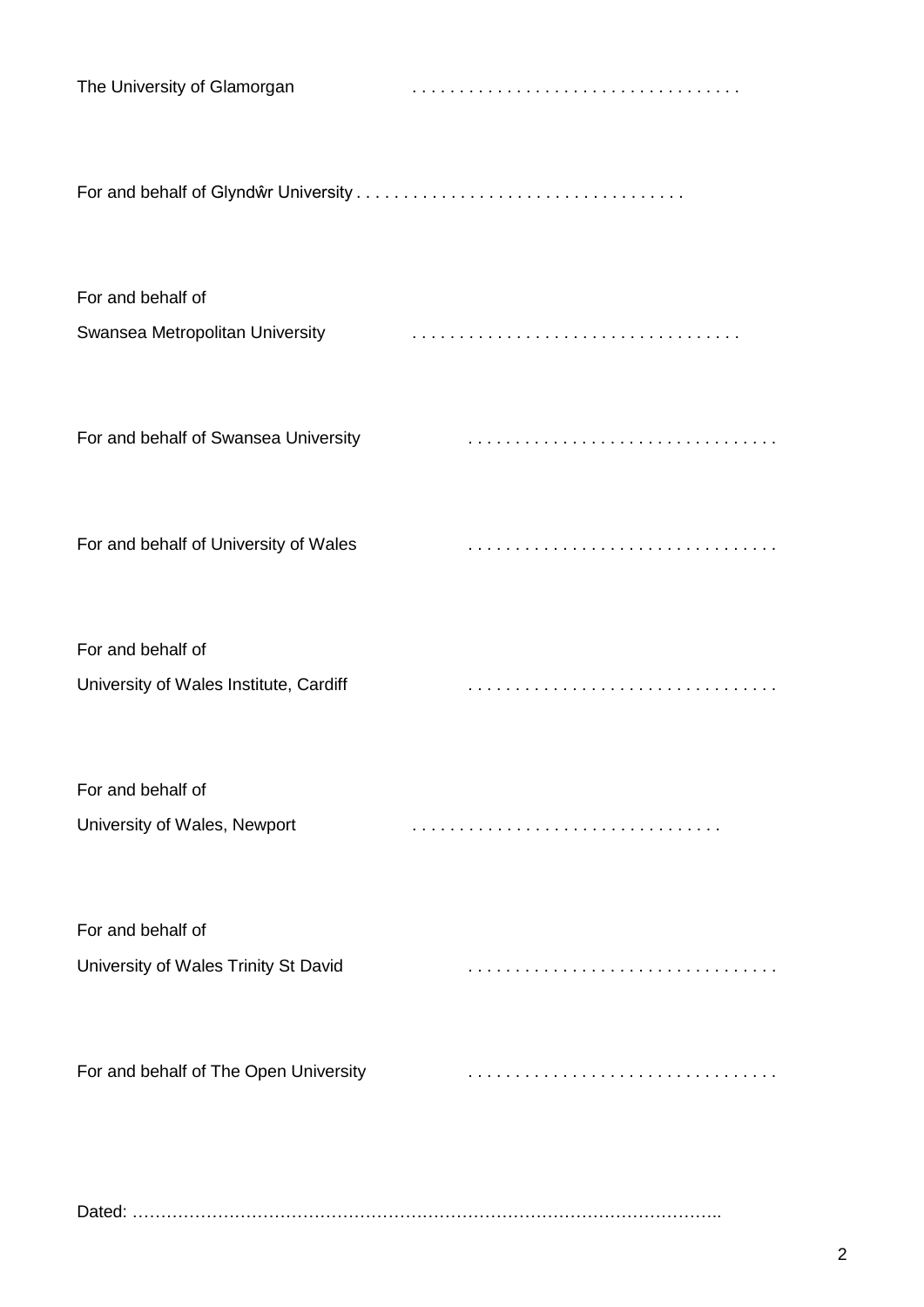| The University of Glamorgan            |  |
|----------------------------------------|--|
|                                        |  |
| For and behalf of                      |  |
| Swansea Metropolitan University        |  |
| For and behalf of Swansea University   |  |
| For and behalf of University of Wales  |  |
| For and behalf of                      |  |
| University of Wales Institute, Cardiff |  |
| For and behalf of                      |  |
| University of Wales, Newport           |  |
| For and behalf of                      |  |
| University of Wales Trinity St David   |  |
| For and behalf of The Open University  |  |
|                                        |  |

| $D - 1$ |  |
|---------|--|
|---------|--|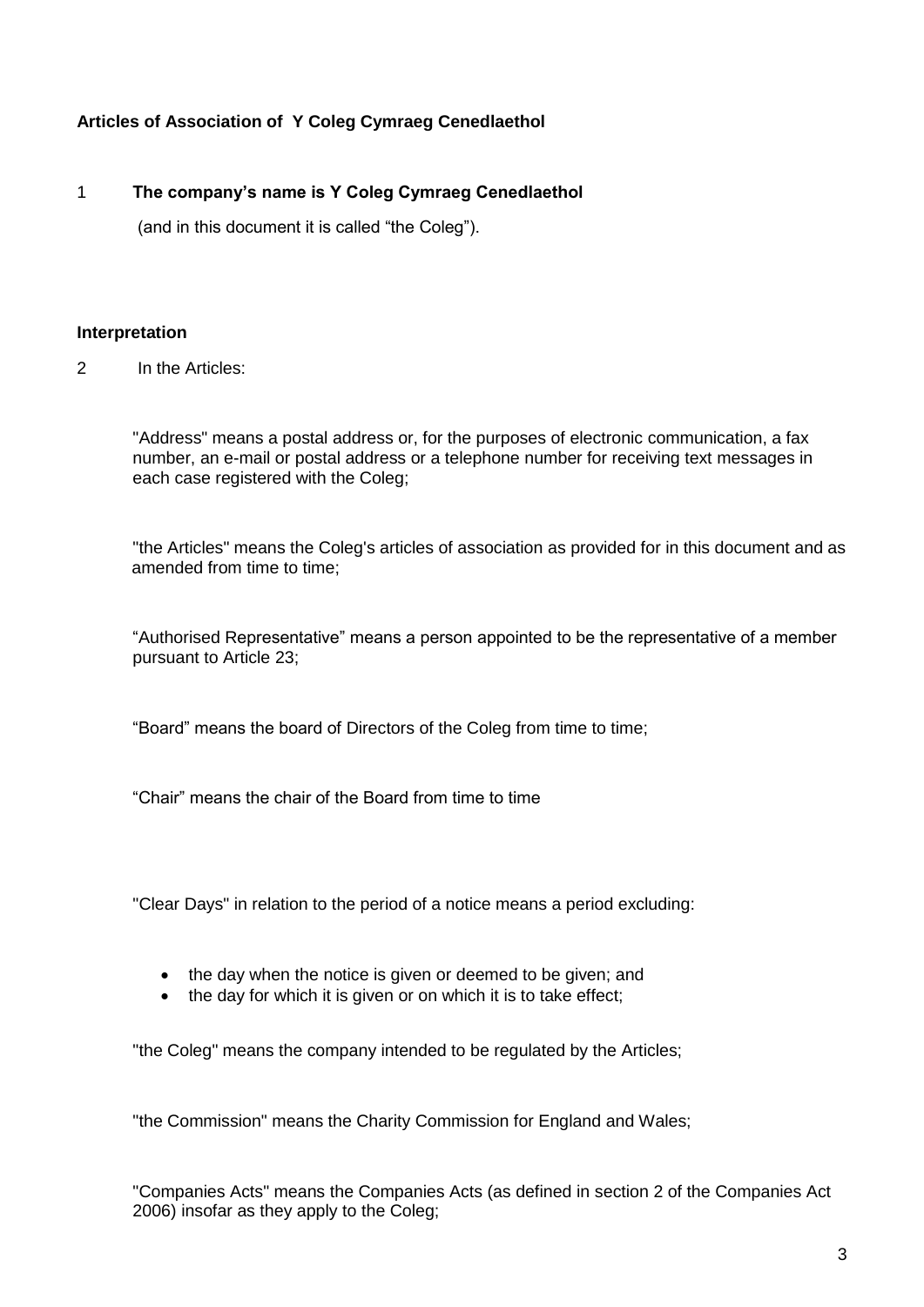# **Articles of Association of Y Coleg Cymraeg Cenedlaethol**

# 1 **The company's name is Y Coleg Cymraeg Cenedlaethol**

(and in this document it is called "the Coleg").

# **Interpretation**

2 In the Articles:

"Address" means a postal address or, for the purposes of electronic communication, a fax number, an e-mail or postal address or a telephone number for receiving text messages in each case registered with the Coleg;

"the Articles" means the Coleg's articles of association as provided for in this document and as amended from time to time:

"Authorised Representative" means a person appointed to be the representative of a member pursuant to Article 23;

"Board" means the board of Directors of the Coleg from time to time;

"Chair" means the chair of the Board from time to time

"Clear Days" in relation to the period of a notice means a period excluding:

- the day when the notice is given or deemed to be given; and
- the day for which it is given or on which it is to take effect;

"the Coleg" means the company intended to be regulated by the Articles;

"the Commission" means the Charity Commission for England and Wales;

"Companies Acts" means the Companies Acts (as defined in section 2 of the Companies Act 2006) insofar as they apply to the Coleg;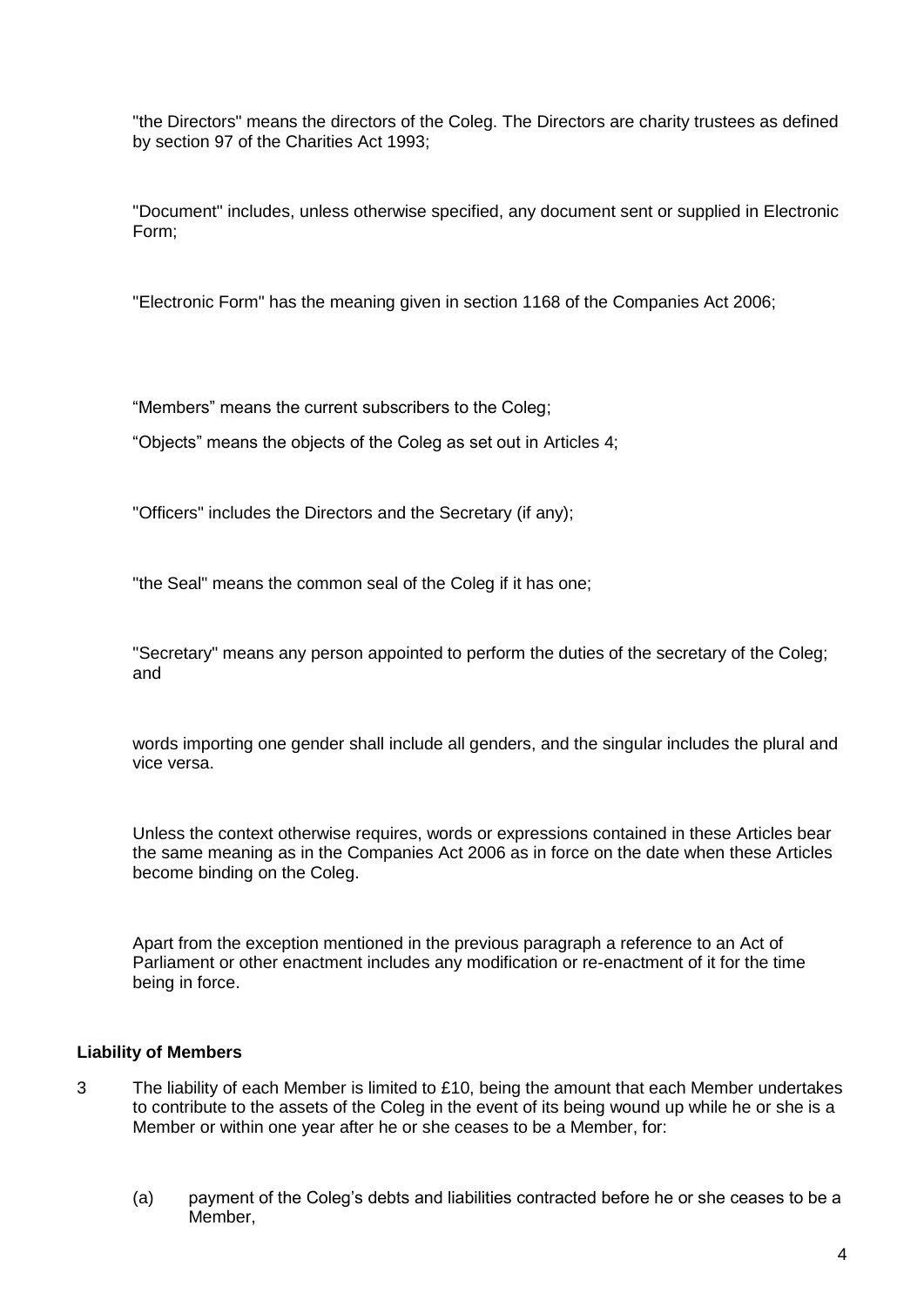"the Directors" means the directors of the Coleg. The Directors are charity trustees as defined by section 97 of the Charities Act 1993;

"Document" includes, unless otherwise specified, any document sent or supplied in Electronic Form;

"Electronic Form" has the meaning given in section 1168 of the Companies Act 2006;

"Members" means the current subscribers to the Coleg;

"Objects" means the objects of the Coleg as set out in Articles 4;

"Officers" includes the Directors and the Secretary (if any);

"the Seal" means the common seal of the Coleg if it has one;

"Secretary" means any person appointed to perform the duties of the secretary of the Coleg; and

words importing one gender shall include all genders, and the singular includes the plural and vice versa.

Unless the context otherwise requires, words or expressions contained in these Articles bear the same meaning as in the Companies Act 2006 as in force on the date when these Articles become binding on the Coleg.

Apart from the exception mentioned in the previous paragraph a reference to an Act of Parliament or other enactment includes any modification or re-enactment of it for the time being in force.

## **Liability of Members**

- 3 The liability of each Member is limited to £10, being the amount that each Member undertakes to contribute to the assets of the Coleg in the event of its being wound up while he or she is a Member or within one year after he or she ceases to be a Member, for:
	- (a) payment of the Coleg's debts and liabilities contracted before he or she ceases to be a Member,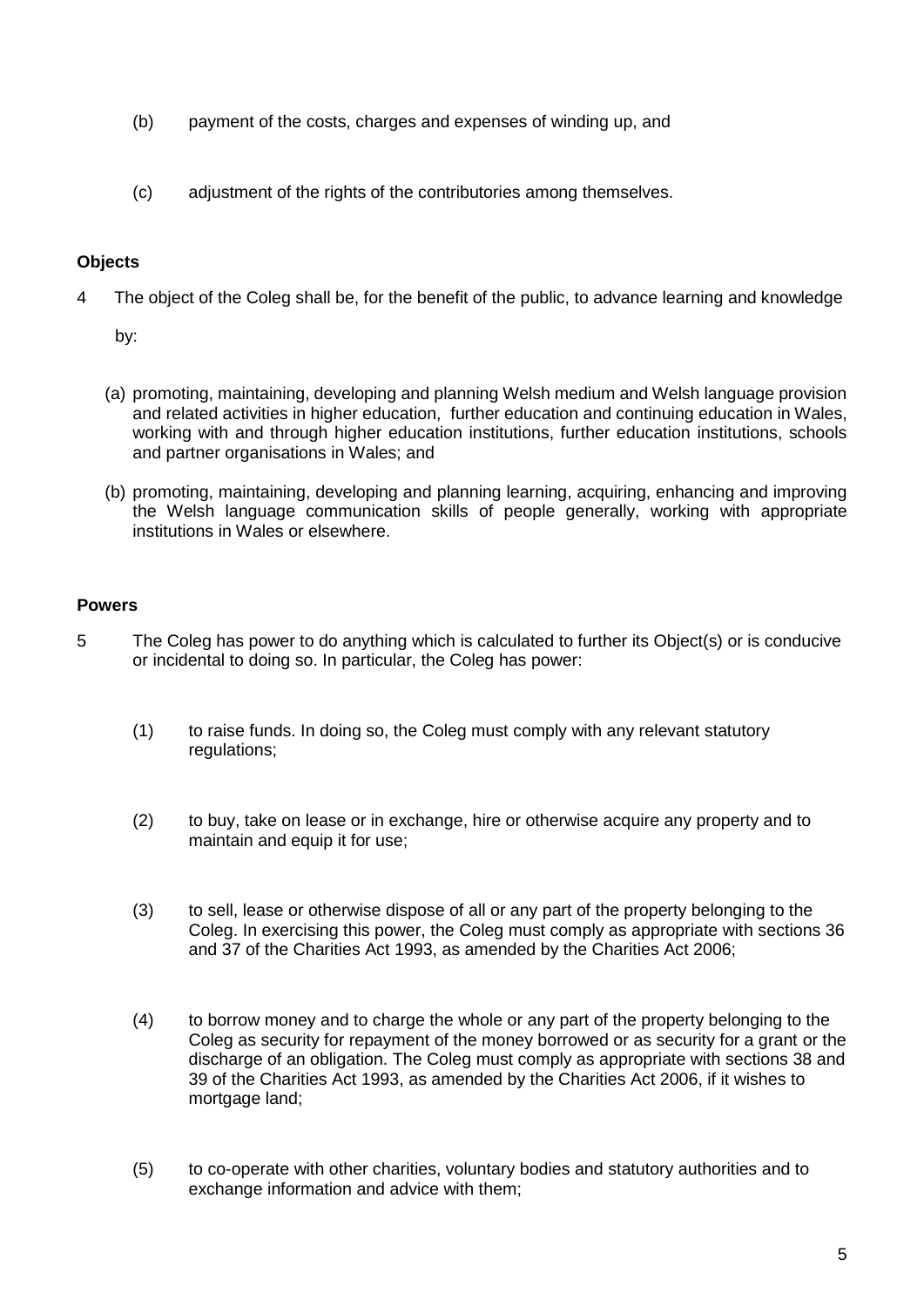- (b) payment of the costs, charges and expenses of winding up, and
- (c) adjustment of the rights of the contributories among themselves.

# **Objects**

4 The object of the Coleg shall be, for the benefit of the public, to advance learning and knowledge

by:

- (a) promoting, maintaining, developing and planning Welsh medium and Welsh language provision and related activities in higher education, further education and continuing education in Wales, working with and through higher education institutions, further education institutions, schools and partner organisations in Wales; and
- (b) promoting, maintaining, developing and planning learning, acquiring, enhancing and improving the Welsh language communication skills of people generally, working with appropriate institutions in Wales or elsewhere.

# **Powers**

- 5 The Coleg has power to do anything which is calculated to further its Object(s) or is conducive or incidental to doing so. In particular, the Coleg has power:
	- (1) to raise funds. In doing so, the Coleg must comply with any relevant statutory regulations;
	- (2) to buy, take on lease or in exchange, hire or otherwise acquire any property and to maintain and equip it for use;
	- (3) to sell, lease or otherwise dispose of all or any part of the property belonging to the Coleg. In exercising this power, the Coleg must comply as appropriate with sections 36 and 37 of the Charities Act 1993, as amended by the Charities Act 2006;
	- (4) to borrow money and to charge the whole or any part of the property belonging to the Coleg as security for repayment of the money borrowed or as security for a grant or the discharge of an obligation. The Coleg must comply as appropriate with sections 38 and 39 of the Charities Act 1993, as amended by the Charities Act 2006, if it wishes to mortgage land;
	- (5) to co-operate with other charities, voluntary bodies and statutory authorities and to exchange information and advice with them;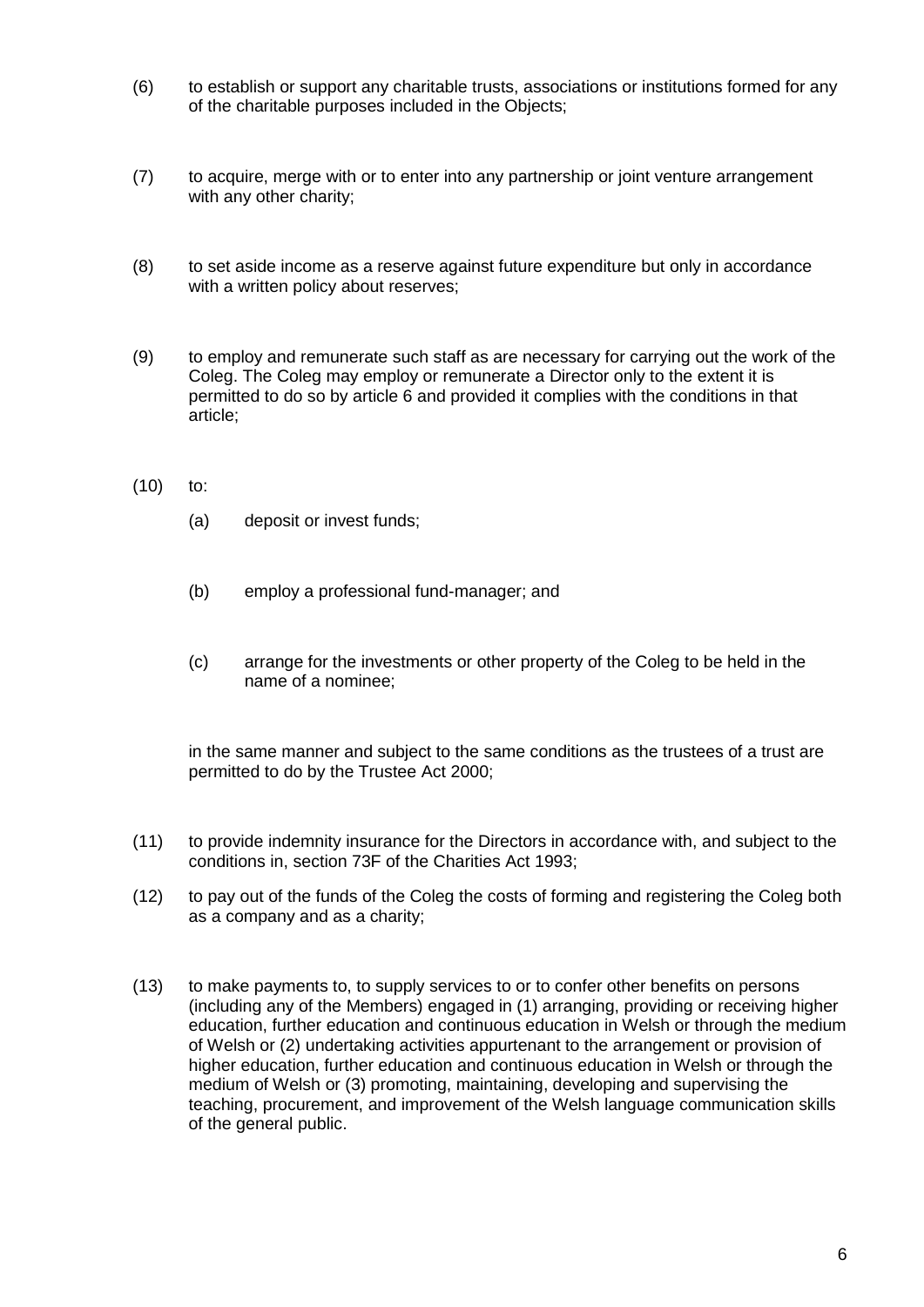- (6) to establish or support any charitable trusts, associations or institutions formed for any of the charitable purposes included in the Objects;
- (7) to acquire, merge with or to enter into any partnership or joint venture arrangement with any other charity;
- (8) to set aside income as a reserve against future expenditure but only in accordance with a written policy about reserves;
- (9) to employ and remunerate such staff as are necessary for carrying out the work of the Coleg. The Coleg may employ or remunerate a Director only to the extent it is permitted to do so by article 6 and provided it complies with the conditions in that article;
- (10) to:
	- (a) deposit or invest funds;
	- (b) employ a professional fund-manager; and
	- (c) arrange for the investments or other property of the Coleg to be held in the name of a nominee;

in the same manner and subject to the same conditions as the trustees of a trust are permitted to do by the Trustee Act 2000;

- (11) to provide indemnity insurance for the Directors in accordance with, and subject to the conditions in, section 73F of the Charities Act 1993;
- (12) to pay out of the funds of the Coleg the costs of forming and registering the Coleg both as a company and as a charity;
- (13) to make payments to, to supply services to or to confer other benefits on persons (including any of the Members) engaged in (1) arranging, providing or receiving higher education, further education and continuous education in Welsh or through the medium of Welsh or (2) undertaking activities appurtenant to the arrangement or provision of higher education, further education and continuous education in Welsh or through the medium of Welsh or (3) promoting, maintaining, developing and supervising the teaching, procurement, and improvement of the Welsh language communication skills of the general public.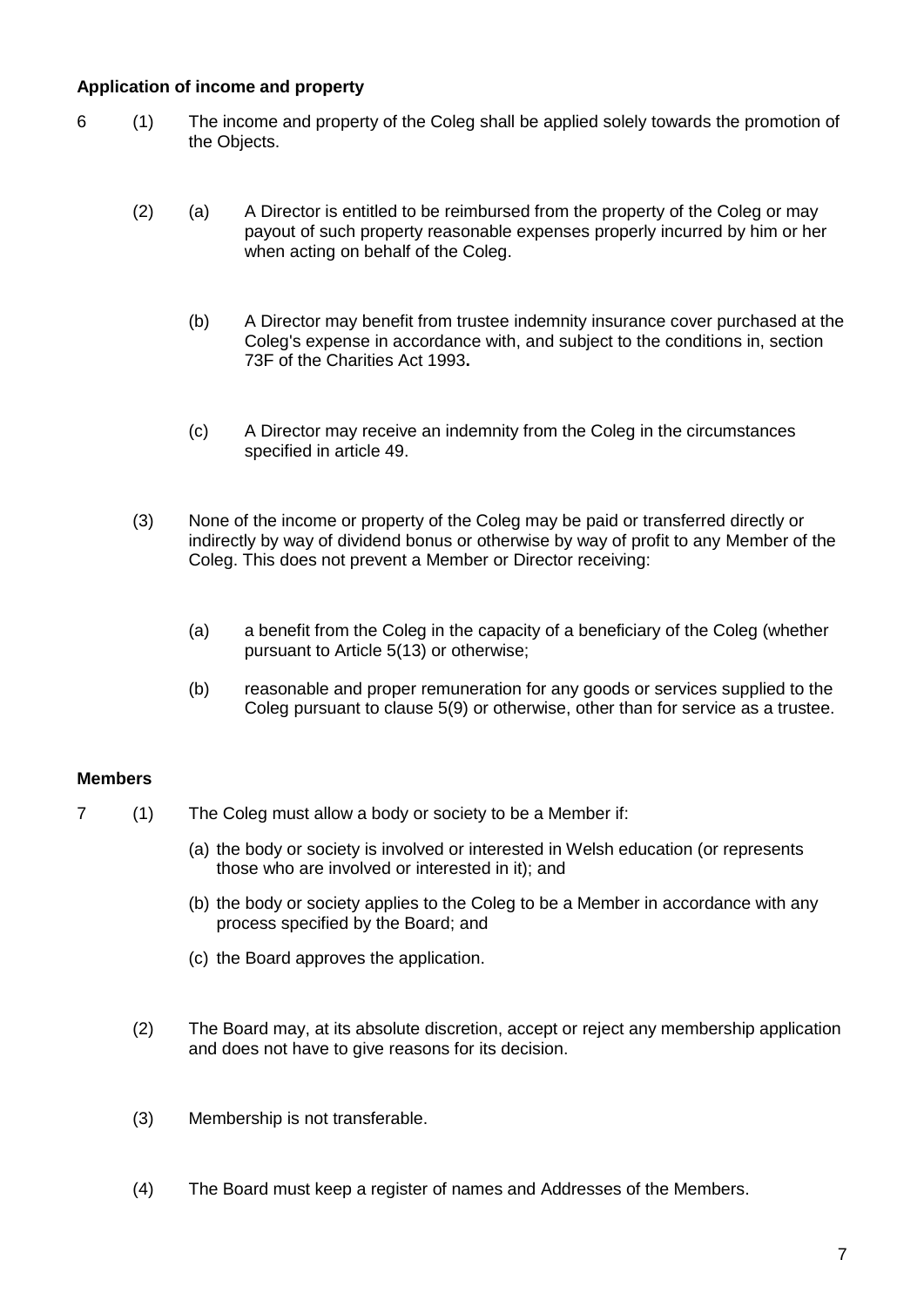# **Application of income and property**

- 6 (1) The income and property of the Coleg shall be applied solely towards the promotion of the Objects.
	- (2) (a) A Director is entitled to be reimbursed from the property of the Coleg or may payout of such property reasonable expenses properly incurred by him or her when acting on behalf of the Coleg.
		- (b) A Director may benefit from trustee indemnity insurance cover purchased at the Coleg's expense in accordance with, and subject to the conditions in, section 73F of the Charities Act 1993**.**
		- (c) A Director may receive an indemnity from the Coleg in the circumstances specified in article 49.
	- (3) None of the income or property of the Coleg may be paid or transferred directly or indirectly by way of dividend bonus or otherwise by way of profit to any Member of the Coleg. This does not prevent a Member or Director receiving:
		- (a) a benefit from the Coleg in the capacity of a beneficiary of the Coleg (whether pursuant to Article 5(13) or otherwise;
		- (b) reasonable and proper remuneration for any goods or services supplied to the Coleg pursuant to clause 5(9) or otherwise, other than for service as a trustee.

## **Members**

- 7 (1) The Coleg must allow a body or society to be a Member if:
	- (a) the body or society is involved or interested in Welsh education (or represents those who are involved or interested in it); and
	- (b) the body or society applies to the Coleg to be a Member in accordance with any process specified by the Board; and
	- (c) the Board approves the application.
	- (2) The Board may, at its absolute discretion, accept or reject any membership application and does not have to give reasons for its decision.
	- (3) Membership is not transferable.
	- (4) The Board must keep a register of names and Addresses of the Members.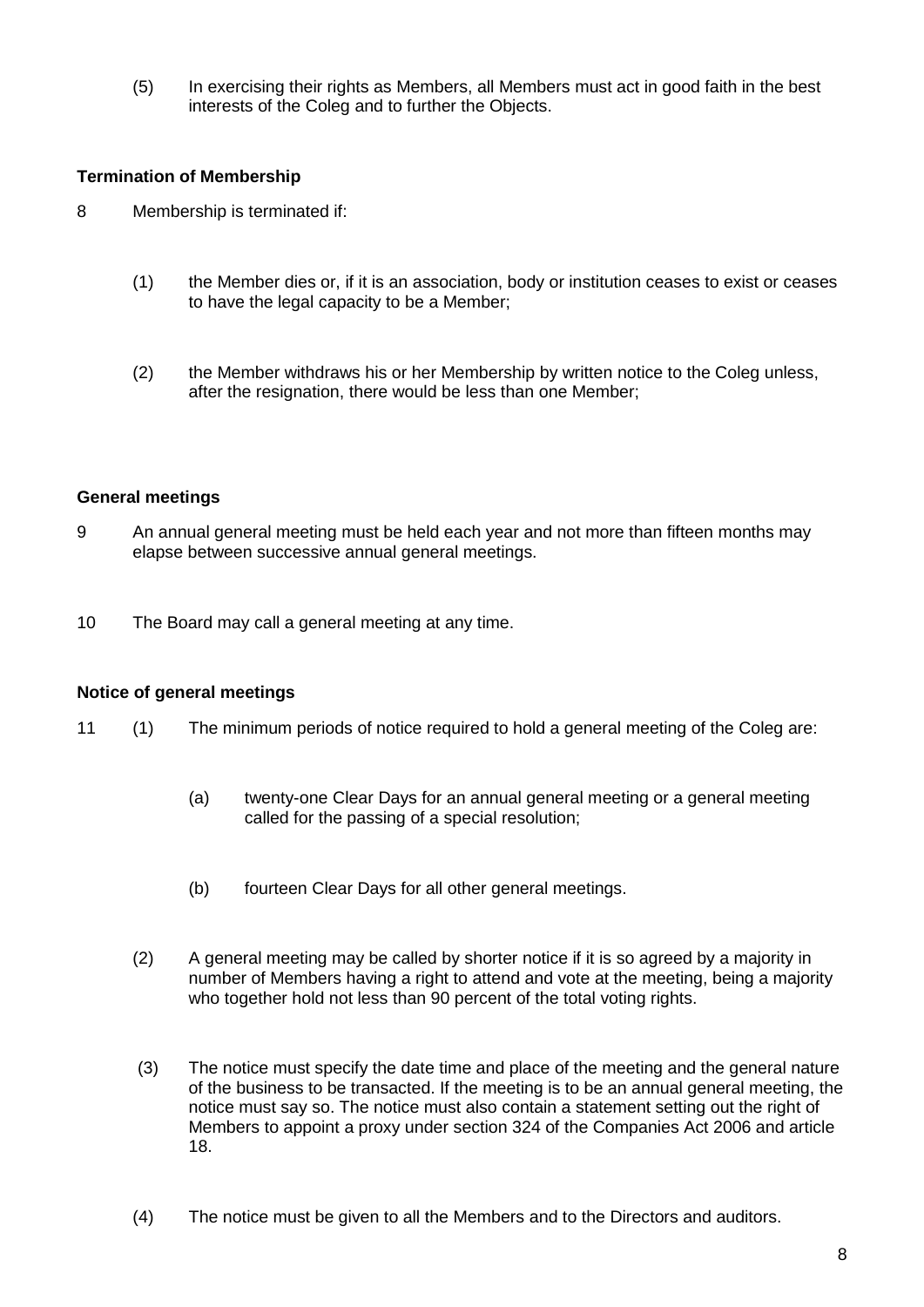(5) In exercising their rights as Members, all Members must act in good faith in the best interests of the Coleg and to further the Objects.

## **Termination of Membership**

- 8 Membership is terminated if:
	- (1) the Member dies or, if it is an association, body or institution ceases to exist or ceases to have the legal capacity to be a Member;
	- (2) the Member withdraws his or her Membership by written notice to the Coleg unless, after the resignation, there would be less than one Member;

#### **General meetings**

- 9 An annual general meeting must be held each year and not more than fifteen months may elapse between successive annual general meetings.
- 10 The Board may call a general meeting at any time.

#### **Notice of general meetings**

- 11 (1) The minimum periods of notice required to hold a general meeting of the Coleg are:
	- (a) twenty-one Clear Days for an annual general meeting or a general meeting called for the passing of a special resolution;
	- (b) fourteen Clear Days for all other general meetings.
	- (2) A general meeting may be called by shorter notice if it is so agreed by a majority in number of Members having a right to attend and vote at the meeting, being a majority who together hold not less than 90 percent of the total voting rights.
	- (3) The notice must specify the date time and place of the meeting and the general nature of the business to be transacted. If the meeting is to be an annual general meeting, the notice must say so. The notice must also contain a statement setting out the right of Members to appoint a proxy under section 324 of the Companies Act 2006 and article 18.
	- (4) The notice must be given to all the Members and to the Directors and auditors.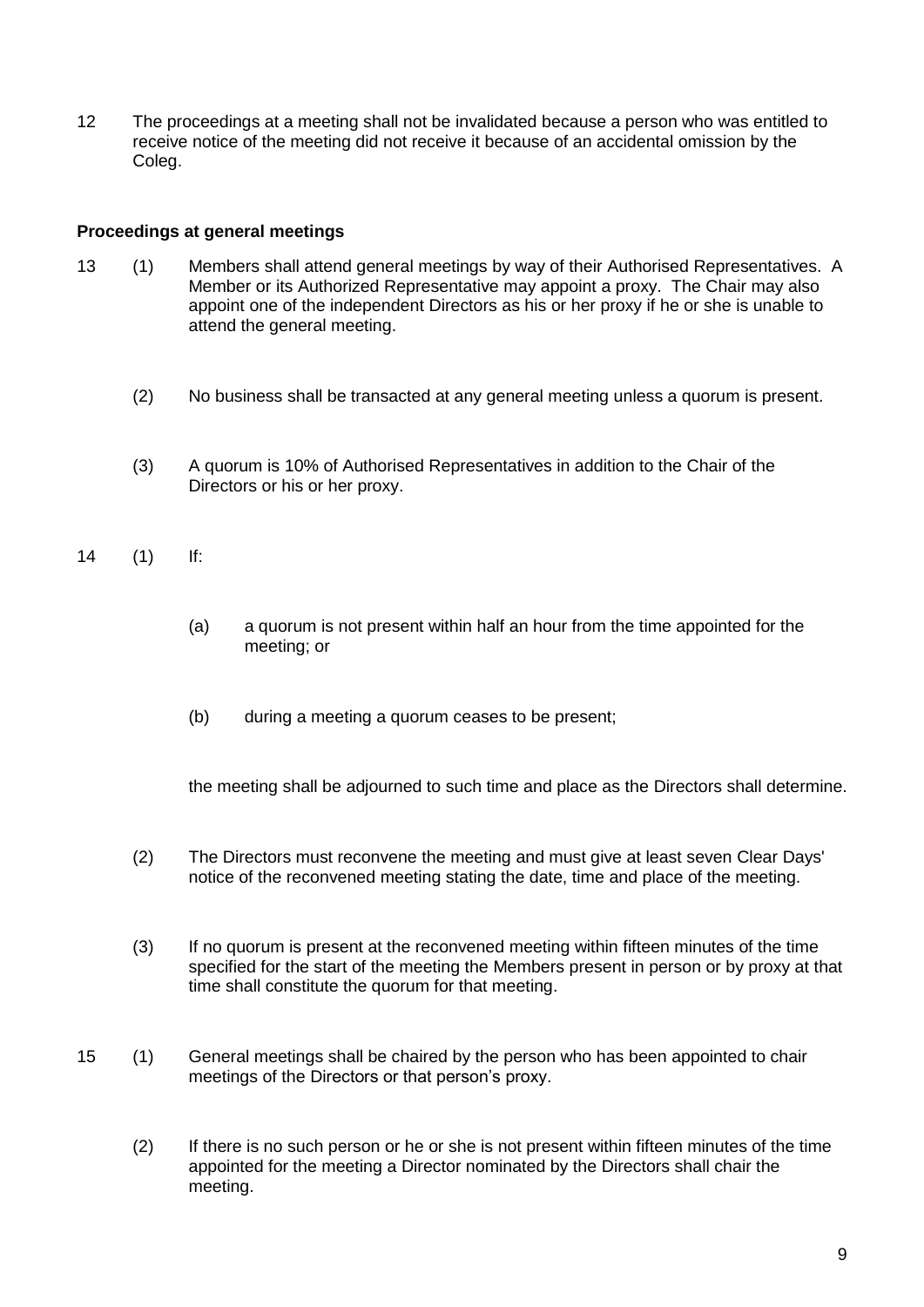12 The proceedings at a meeting shall not be invalidated because a person who was entitled to receive notice of the meeting did not receive it because of an accidental omission by the Coleg.

## **Proceedings at general meetings**

- 13 (1) Members shall attend general meetings by way of their Authorised Representatives. A Member or its Authorized Representative may appoint a proxy. The Chair may also appoint one of the independent Directors as his or her proxy if he or she is unable to attend the general meeting.
	- (2) No business shall be transacted at any general meeting unless a quorum is present.
	- (3) A quorum is 10% of Authorised Representatives in addition to the Chair of the Directors or his or her proxy.
- 14 (1) If:
	- (a) a quorum is not present within half an hour from the time appointed for the meeting; or
	- (b) during a meeting a quorum ceases to be present;

the meeting shall be adjourned to such time and place as the Directors shall determine.

- (2) The Directors must reconvene the meeting and must give at least seven Clear Days' notice of the reconvened meeting stating the date, time and place of the meeting.
- (3) If no quorum is present at the reconvened meeting within fifteen minutes of the time specified for the start of the meeting the Members present in person or by proxy at that time shall constitute the quorum for that meeting.
- 15 (1) General meetings shall be chaired by the person who has been appointed to chair meetings of the Directors or that person's proxy.
	- (2) If there is no such person or he or she is not present within fifteen minutes of the time appointed for the meeting a Director nominated by the Directors shall chair the meeting.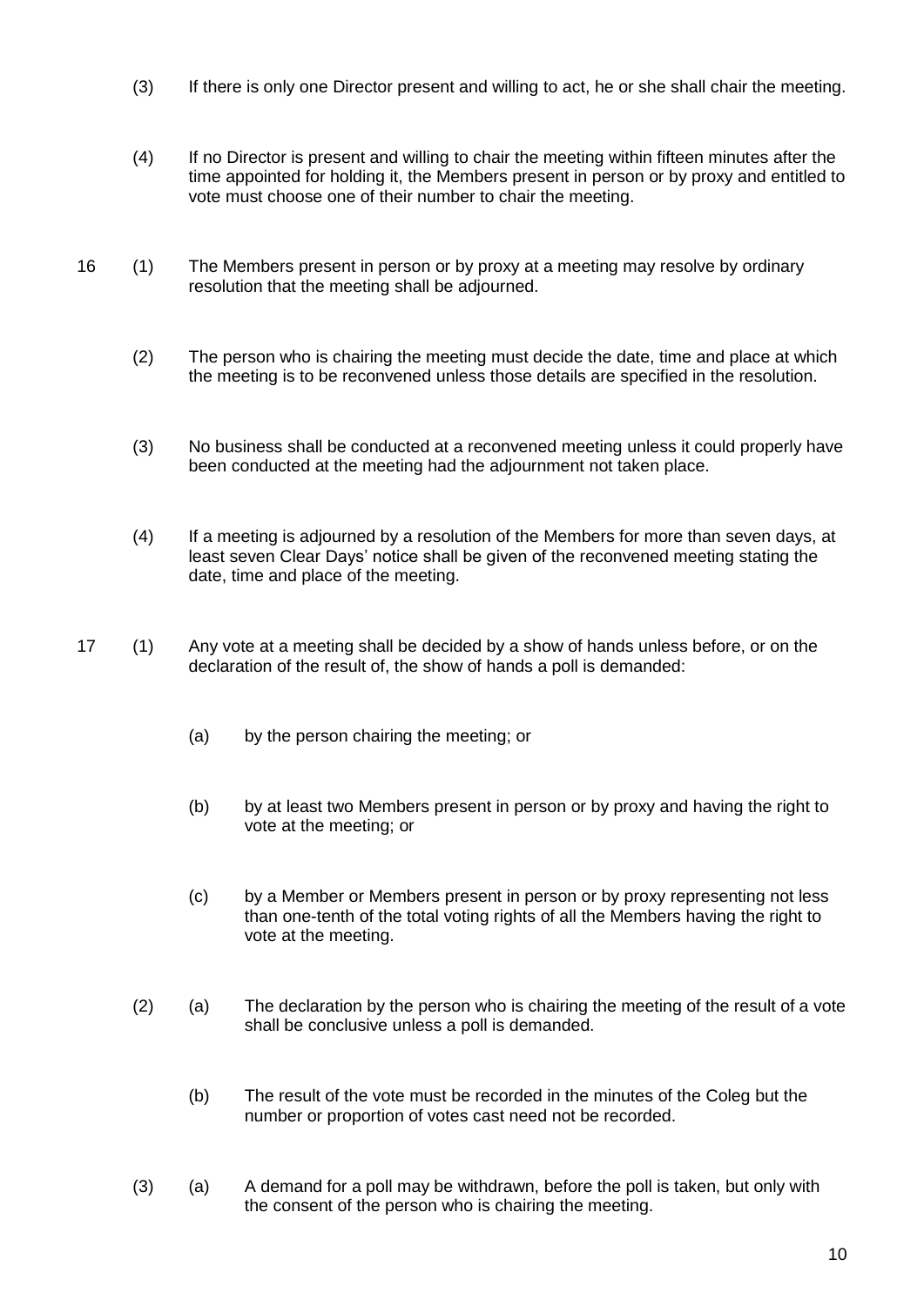- (3) If there is only one Director present and willing to act, he or she shall chair the meeting.
- (4) If no Director is present and willing to chair the meeting within fifteen minutes after the time appointed for holding it, the Members present in person or by proxy and entitled to vote must choose one of their number to chair the meeting.
- 16 (1) The Members present in person or by proxy at a meeting may resolve by ordinary resolution that the meeting shall be adjourned.
	- (2) The person who is chairing the meeting must decide the date, time and place at which the meeting is to be reconvened unless those details are specified in the resolution.
	- (3) No business shall be conducted at a reconvened meeting unless it could properly have been conducted at the meeting had the adjournment not taken place.
	- (4) If a meeting is adjourned by a resolution of the Members for more than seven days, at least seven Clear Days' notice shall be given of the reconvened meeting stating the date, time and place of the meeting.
- 17 (1) Any vote at a meeting shall be decided by a show of hands unless before, or on the declaration of the result of, the show of hands a poll is demanded:
	- (a) by the person chairing the meeting; or
	- (b) by at least two Members present in person or by proxy and having the right to vote at the meeting; or
	- (c) by a Member or Members present in person or by proxy representing not less than one-tenth of the total voting rights of all the Members having the right to vote at the meeting.
	- (2) (a) The declaration by the person who is chairing the meeting of the result of a vote shall be conclusive unless a poll is demanded.
		- (b) The result of the vote must be recorded in the minutes of the Coleg but the number or proportion of votes cast need not be recorded.
	- (3) (a) A demand for a poll may be withdrawn, before the poll is taken, but only with the consent of the person who is chairing the meeting.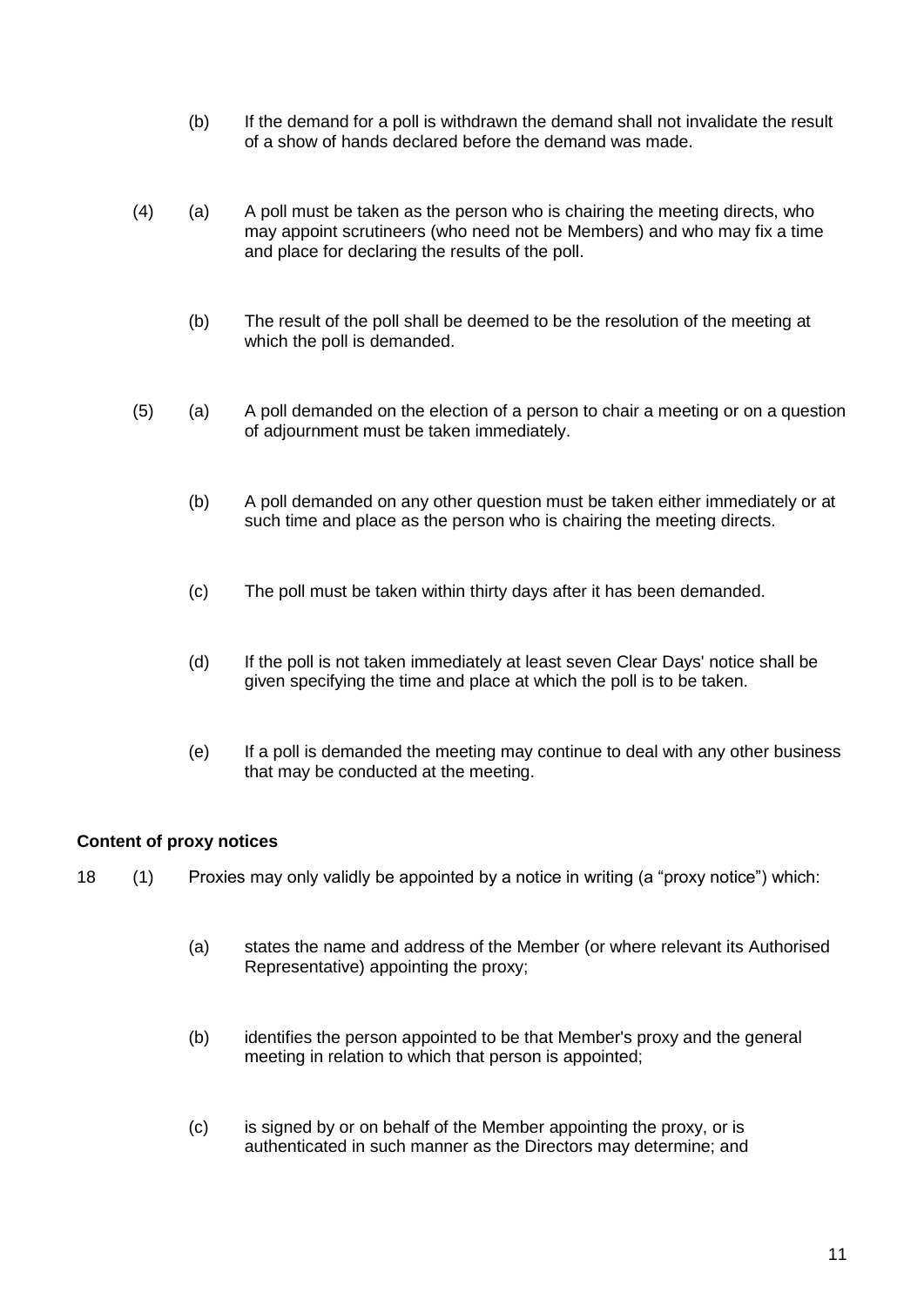- (b) If the demand for a poll is withdrawn the demand shall not invalidate the result of a show of hands declared before the demand was made.
- (4) (a) A poll must be taken as the person who is chairing the meeting directs, who may appoint scrutineers (who need not be Members) and who may fix a time and place for declaring the results of the poll.
	- (b) The result of the poll shall be deemed to be the resolution of the meeting at which the poll is demanded.
- (5) (a) A poll demanded on the election of a person to chair a meeting or on a question of adjournment must be taken immediately.
	- (b) A poll demanded on any other question must be taken either immediately or at such time and place as the person who is chairing the meeting directs.
	- (c) The poll must be taken within thirty days after it has been demanded.
	- (d) If the poll is not taken immediately at least seven Clear Days' notice shall be given specifying the time and place at which the poll is to be taken.
	- (e) If a poll is demanded the meeting may continue to deal with any other business that may be conducted at the meeting.

# **Content of proxy notices**

- 18 (1) Proxies may only validly be appointed by a notice in writing (a "proxy notice") which:
	- (a) states the name and address of the Member (or where relevant its Authorised Representative) appointing the proxy;
	- (b) identifies the person appointed to be that Member's proxy and the general meeting in relation to which that person is appointed;
	- (c) is signed by or on behalf of the Member appointing the proxy, or is authenticated in such manner as the Directors may determine; and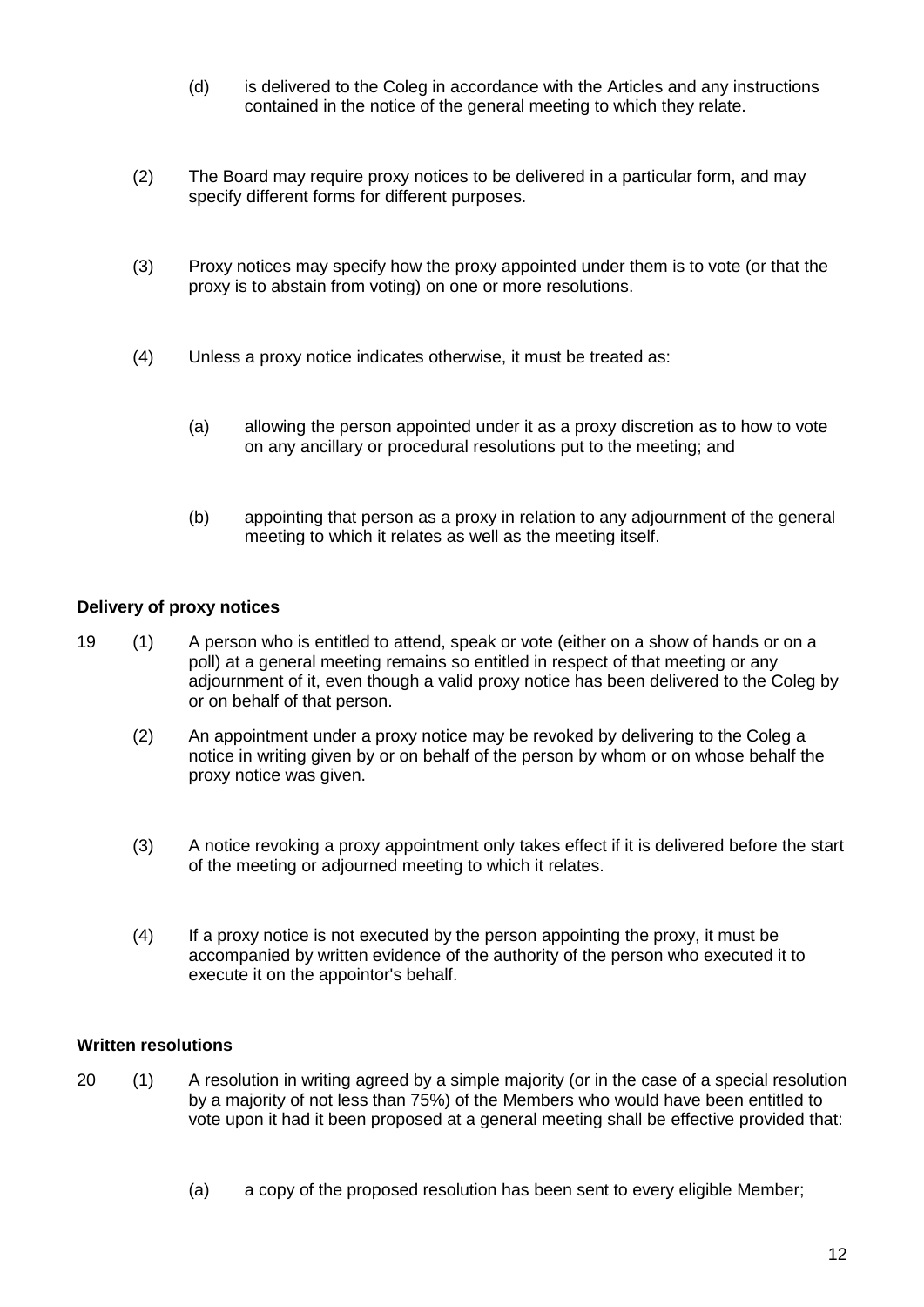- (d) is delivered to the Coleg in accordance with the Articles and any instructions contained in the notice of the general meeting to which they relate.
- (2) The Board may require proxy notices to be delivered in a particular form, and may specify different forms for different purposes.
- (3) Proxy notices may specify how the proxy appointed under them is to vote (or that the proxy is to abstain from voting) on one or more resolutions.
- (4) Unless a proxy notice indicates otherwise, it must be treated as:
	- (a) allowing the person appointed under it as a proxy discretion as to how to vote on any ancillary or procedural resolutions put to the meeting; and
	- (b) appointing that person as a proxy in relation to any adjournment of the general meeting to which it relates as well as the meeting itself.

# **Delivery of proxy notices**

- 19 (1) A person who is entitled to attend, speak or vote (either on a show of hands or on a poll) at a general meeting remains so entitled in respect of that meeting or any adjournment of it, even though a valid proxy notice has been delivered to the Coleg by or on behalf of that person.
	- (2) An appointment under a proxy notice may be revoked by delivering to the Coleg a notice in writing given by or on behalf of the person by whom or on whose behalf the proxy notice was given.
	- (3) A notice revoking a proxy appointment only takes effect if it is delivered before the start of the meeting or adjourned meeting to which it relates.
	- (4) If a proxy notice is not executed by the person appointing the proxy, it must be accompanied by written evidence of the authority of the person who executed it to execute it on the appointor's behalf.

## **Written resolutions**

- 20 (1) A resolution in writing agreed by a simple majority (or in the case of a special resolution by a majority of not less than 75%) of the Members who would have been entitled to vote upon it had it been proposed at a general meeting shall be effective provided that:
	- (a) a copy of the proposed resolution has been sent to every eligible Member;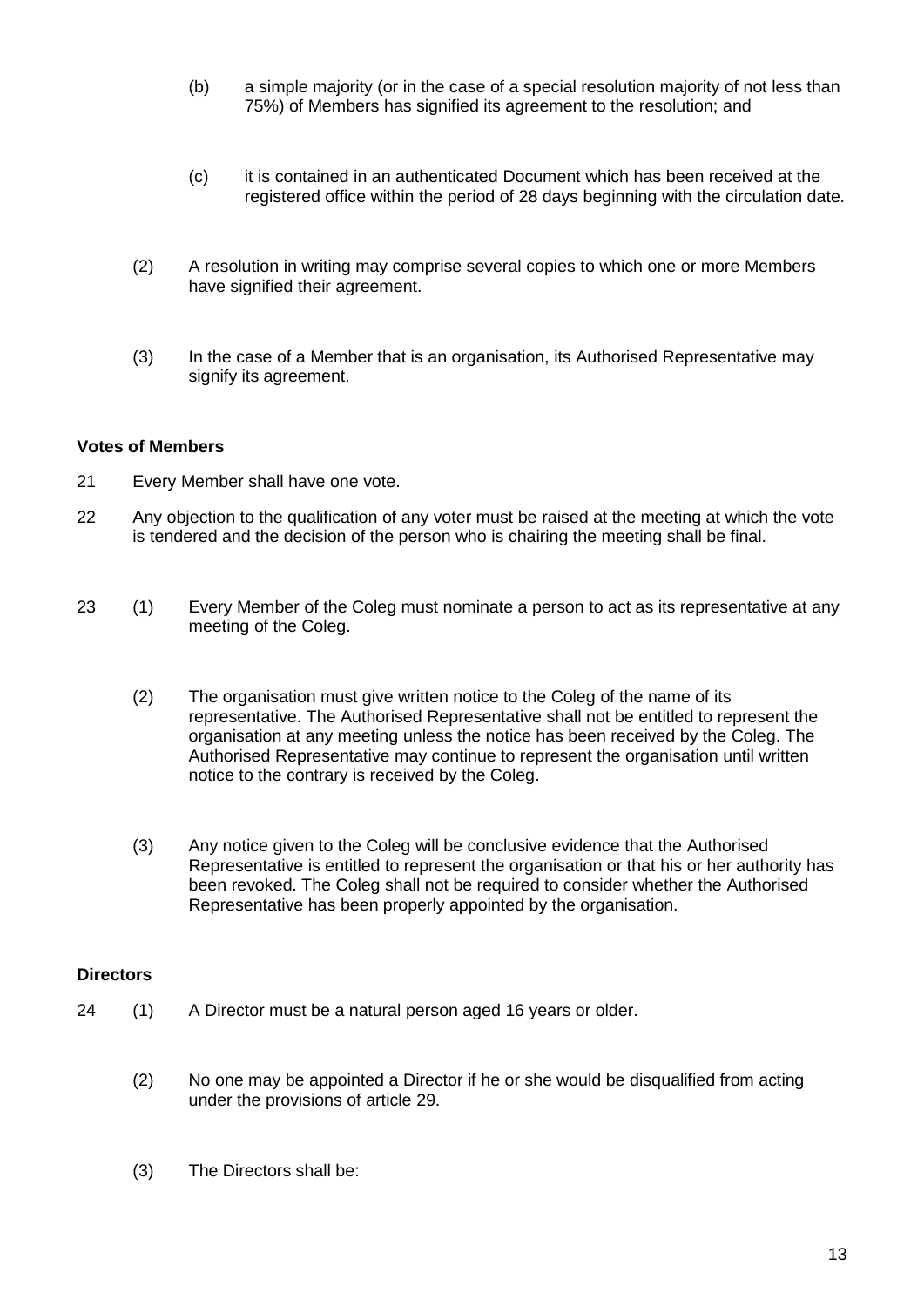- (b) a simple majority (or in the case of a special resolution majority of not less than 75%) of Members has signified its agreement to the resolution; and
- (c) it is contained in an authenticated Document which has been received at the registered office within the period of 28 days beginning with the circulation date.
- (2) A resolution in writing may comprise several copies to which one or more Members have signified their agreement.
- (3) In the case of a Member that is an organisation, its Authorised Representative may signify its agreement.

## **Votes of Members**

- 21 Every Member shall have one vote.
- 22 Any objection to the qualification of any voter must be raised at the meeting at which the vote is tendered and the decision of the person who is chairing the meeting shall be final.
- 23 (1) Every Member of the Coleg must nominate a person to act as its representative at any meeting of the Coleg.
	- (2) The organisation must give written notice to the Coleg of the name of its representative. The Authorised Representative shall not be entitled to represent the organisation at any meeting unless the notice has been received by the Coleg. The Authorised Representative may continue to represent the organisation until written notice to the contrary is received by the Coleg.
	- (3) Any notice given to the Coleg will be conclusive evidence that the Authorised Representative is entitled to represent the organisation or that his or her authority has been revoked. The Coleg shall not be required to consider whether the Authorised Representative has been properly appointed by the organisation.

## **Directors**

- 24 (1) A Director must be a natural person aged 16 years or older.
	- (2) No one may be appointed a Director if he or she would be disqualified from acting under the provisions of article 29.
	- (3) The Directors shall be: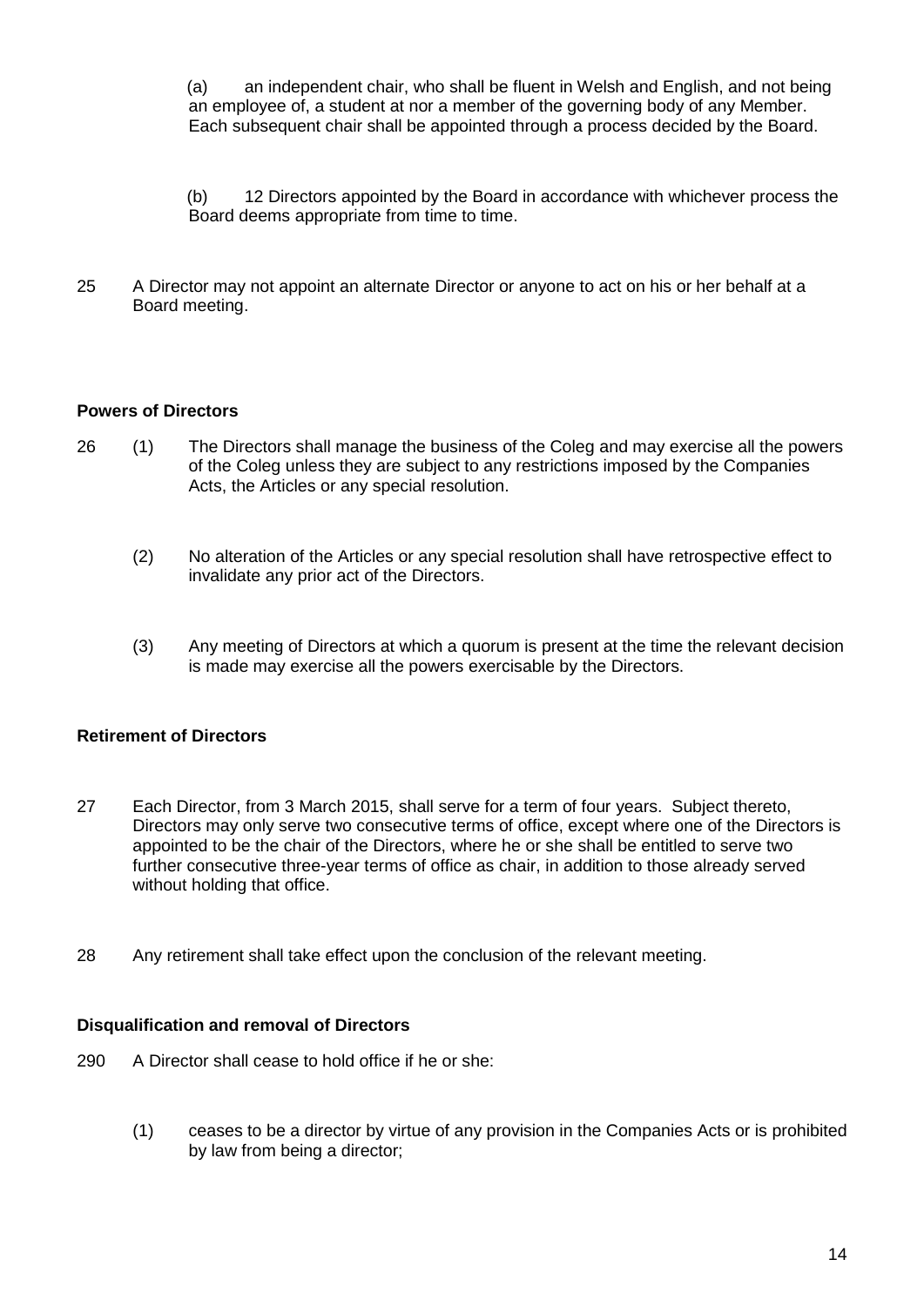(a) an independent chair, who shall be fluent in Welsh and English, and not being an employee of, a student at nor a member of the governing body of any Member. Each subsequent chair shall be appointed through a process decided by the Board.

(b) 12 Directors appointed by the Board in accordance with whichever process the Board deems appropriate from time to time.

25 A Director may not appoint an alternate Director or anyone to act on his or her behalf at a Board meeting.

## **Powers of Directors**

- 26 (1) The Directors shall manage the business of the Coleg and may exercise all the powers of the Coleg unless they are subject to any restrictions imposed by the Companies Acts, the Articles or any special resolution.
	- (2) No alteration of the Articles or any special resolution shall have retrospective effect to invalidate any prior act of the Directors.
	- (3) Any meeting of Directors at which a quorum is present at the time the relevant decision is made may exercise all the powers exercisable by the Directors.

## **Retirement of Directors**

- 27 Each Director, from 3 March 2015, shall serve for a term of four years. Subject thereto, Directors may only serve two consecutive terms of office, except where one of the Directors is appointed to be the chair of the Directors, where he or she shall be entitled to serve two further consecutive three-year terms of office as chair, in addition to those already served without holding that office.
- 28 Any retirement shall take effect upon the conclusion of the relevant meeting.

#### **Disqualification and removal of Directors**

- 290 A Director shall cease to hold office if he or she:
	- (1) ceases to be a director by virtue of any provision in the Companies Acts or is prohibited by law from being a director;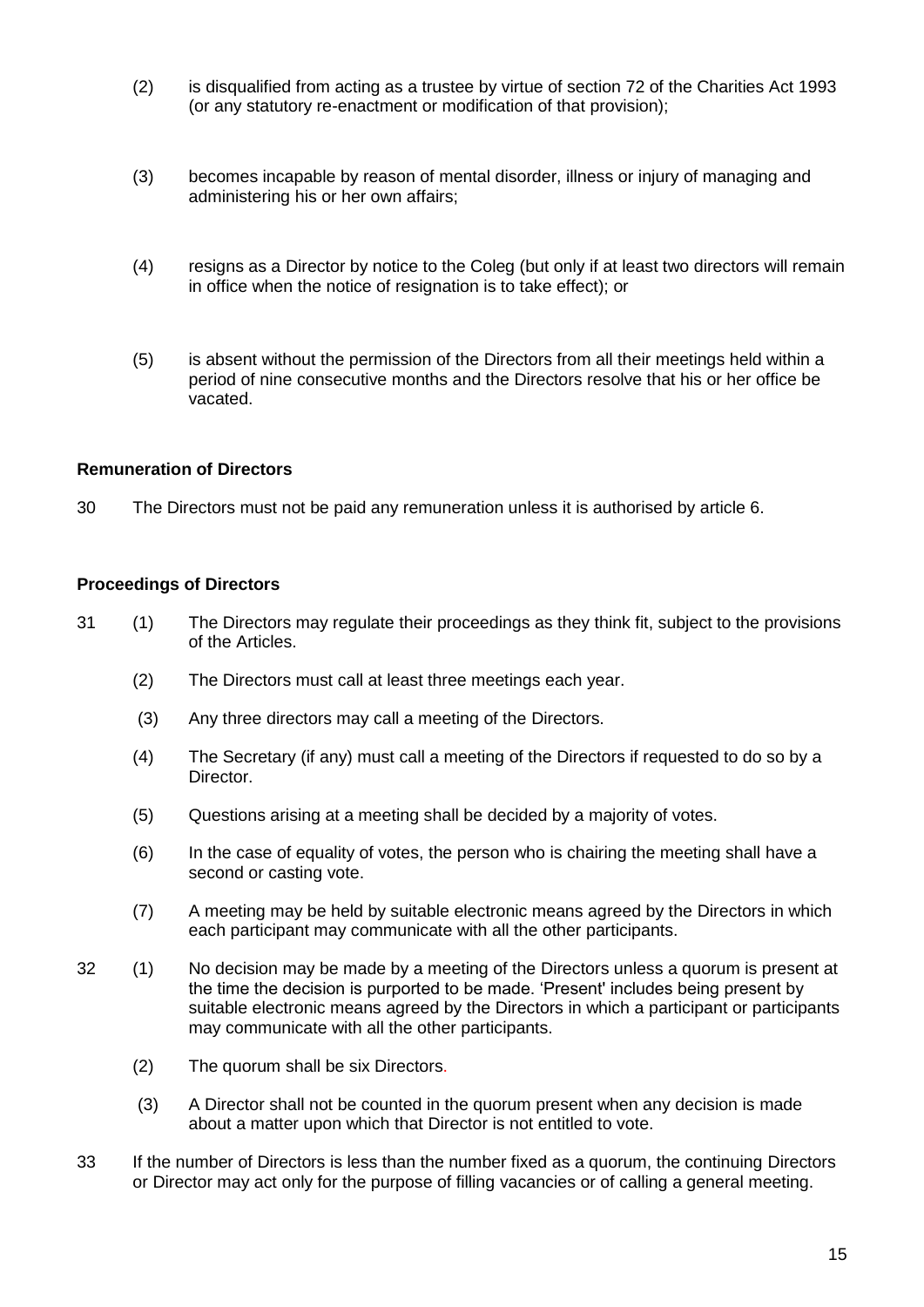- (2) is disqualified from acting as a trustee by virtue of section 72 of the Charities Act 1993 (or any statutory re-enactment or modification of that provision);
- (3) becomes incapable by reason of mental disorder, illness or injury of managing and administering his or her own affairs;
- (4) resigns as a Director by notice to the Coleg (but only if at least two directors will remain in office when the notice of resignation is to take effect); or
- (5) is absent without the permission of the Directors from all their meetings held within a period of nine consecutive months and the Directors resolve that his or her office be vacated.

## **Remuneration of Directors**

30 The Directors must not be paid any remuneration unless it is authorised by article 6.

#### **Proceedings of Directors**

- 31 (1) The Directors may regulate their proceedings as they think fit, subject to the provisions of the Articles.
	- (2) The Directors must call at least three meetings each year.
	- (3) Any three directors may call a meeting of the Directors.
	- (4) The Secretary (if any) must call a meeting of the Directors if requested to do so by a **Director**
	- (5) Questions arising at a meeting shall be decided by a majority of votes.
	- (6) In the case of equality of votes, the person who is chairing the meeting shall have a second or casting vote.
	- (7) A meeting may be held by suitable electronic means agreed by the Directors in which each participant may communicate with all the other participants.
- 32 (1) No decision may be made by a meeting of the Directors unless a quorum is present at the time the decision is purported to be made. 'Present' includes being present by suitable electronic means agreed by the Directors in which a participant or participants may communicate with all the other participants.
	- (2) The quorum shall be six Directors.
	- (3) A Director shall not be counted in the quorum present when any decision is made about a matter upon which that Director is not entitled to vote.
- 33 If the number of Directors is less than the number fixed as a quorum, the continuing Directors or Director may act only for the purpose of filling vacancies or of calling a general meeting.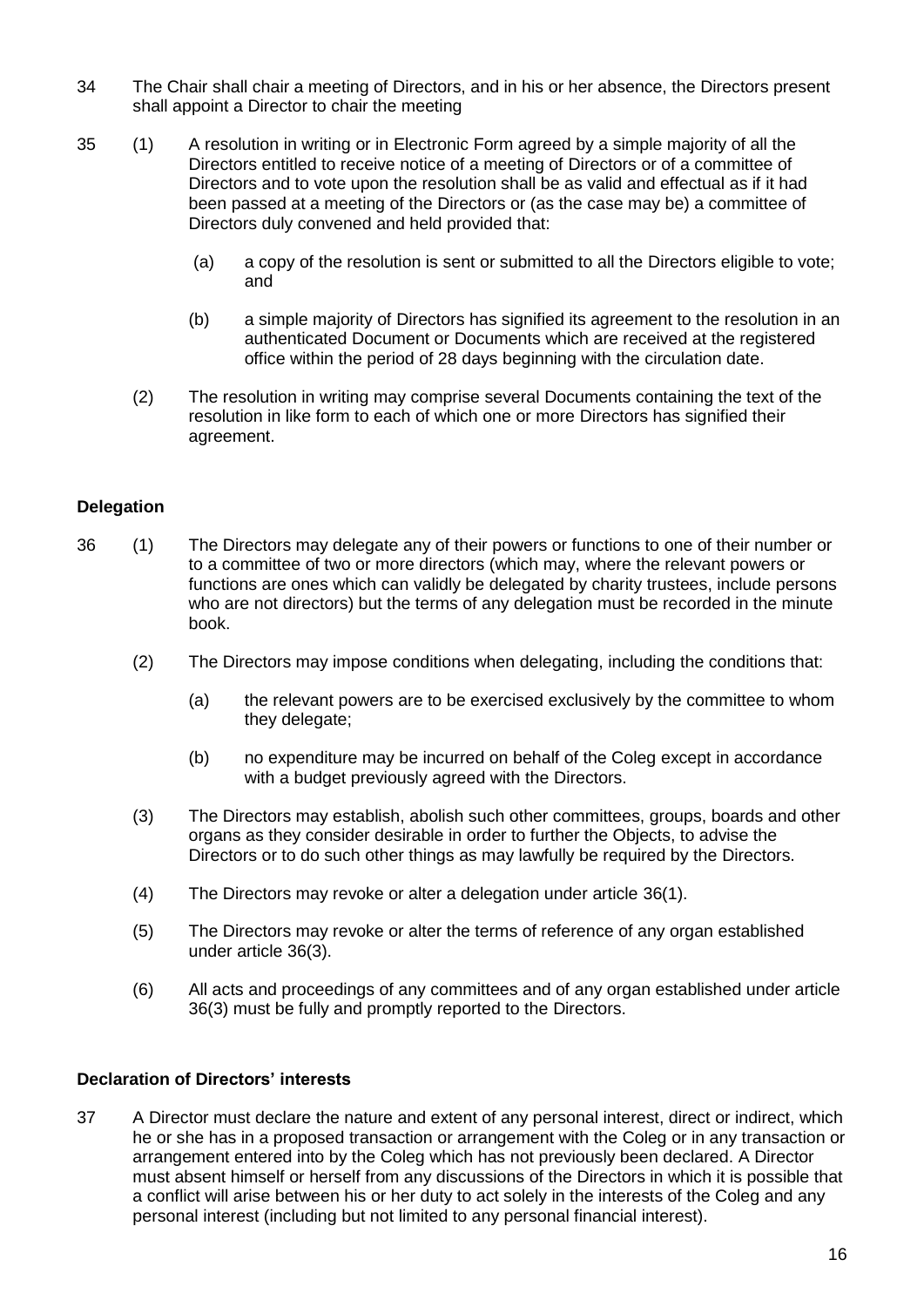- 34 The Chair shall chair a meeting of Directors, and in his or her absence, the Directors present shall appoint a Director to chair the meeting
- 35 (1) A resolution in writing or in Electronic Form agreed by a simple majority of all the Directors entitled to receive notice of a meeting of Directors or of a committee of Directors and to vote upon the resolution shall be as valid and effectual as if it had been passed at a meeting of the Directors or (as the case may be) a committee of Directors duly convened and held provided that:
	- (a) a copy of the resolution is sent or submitted to all the Directors eligible to vote; and
	- (b) a simple majority of Directors has signified its agreement to the resolution in an authenticated Document or Documents which are received at the registered office within the period of 28 days beginning with the circulation date.
	- (2) The resolution in writing may comprise several Documents containing the text of the resolution in like form to each of which one or more Directors has signified their agreement.

# **Delegation**

- 36 (1) The Directors may delegate any of their powers or functions to one of their number or to a committee of two or more directors (which may, where the relevant powers or functions are ones which can validly be delegated by charity trustees, include persons who are not directors) but the terms of any delegation must be recorded in the minute book.
	- (2) The Directors may impose conditions when delegating, including the conditions that:
		- (a) the relevant powers are to be exercised exclusively by the committee to whom they delegate;
		- (b) no expenditure may be incurred on behalf of the Coleg except in accordance with a budget previously agreed with the Directors.
	- (3) The Directors may establish, abolish such other committees, groups, boards and other organs as they consider desirable in order to further the Objects, to advise the Directors or to do such other things as may lawfully be required by the Directors.
	- (4) The Directors may revoke or alter a delegation under article 36(1).
	- (5) The Directors may revoke or alter the terms of reference of any organ established under article 36(3).
	- (6) All acts and proceedings of any committees and of any organ established under article 36(3) must be fully and promptly reported to the Directors.

## **Declaration of Directors' interests**

37 A Director must declare the nature and extent of any personal interest, direct or indirect, which he or she has in a proposed transaction or arrangement with the Coleg or in any transaction or arrangement entered into by the Coleg which has not previously been declared. A Director must absent himself or herself from any discussions of the Directors in which it is possible that a conflict will arise between his or her duty to act solely in the interests of the Coleg and any personal interest (including but not limited to any personal financial interest).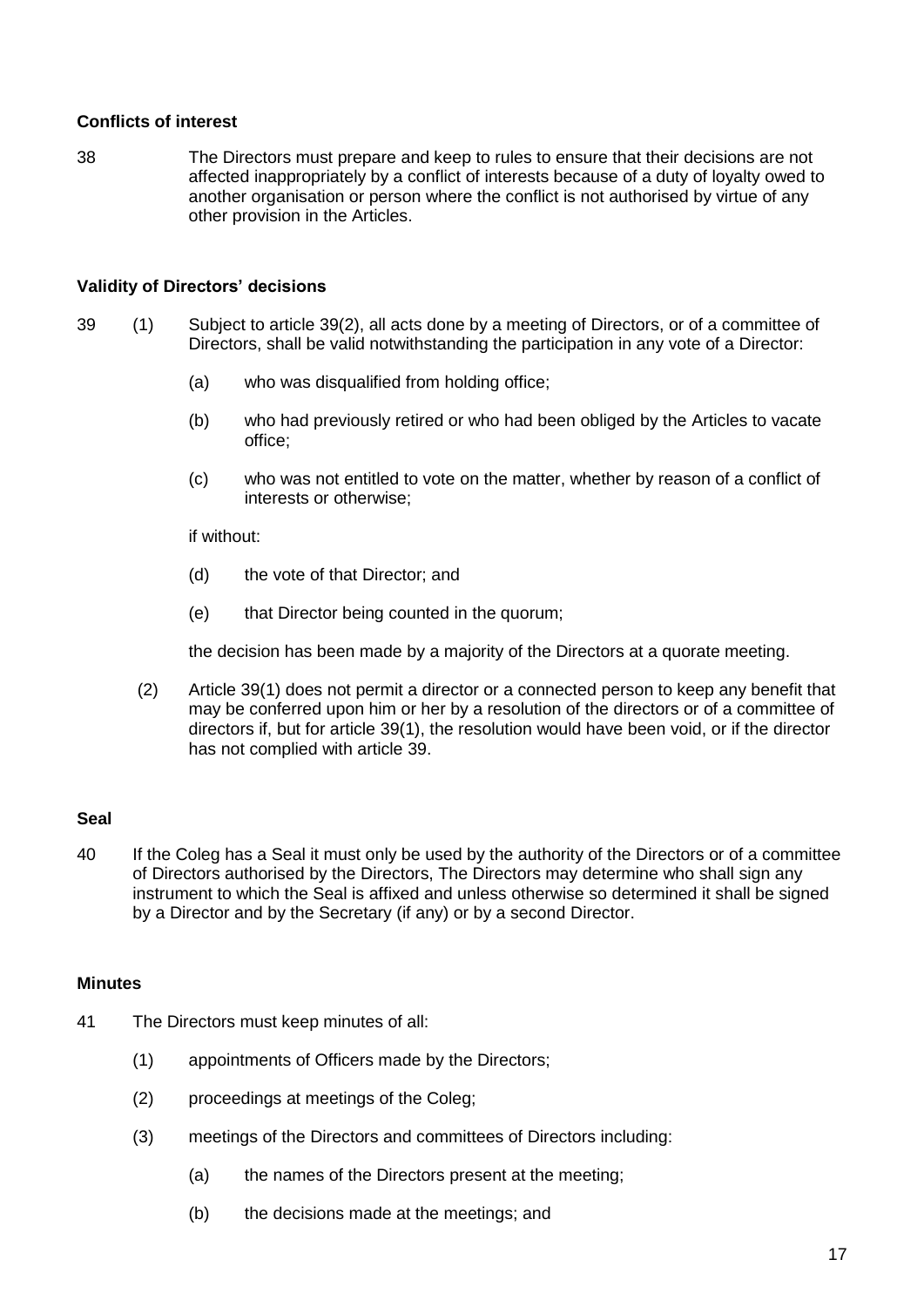#### **Conflicts of interest**

38 The Directors must prepare and keep to rules to ensure that their decisions are not affected inappropriately by a conflict of interests because of a duty of loyalty owed to another organisation or person where the conflict is not authorised by virtue of any other provision in the Articles.

#### **Validity of Directors' decisions**

- 39 (1) Subject to article 39(2), all acts done by a meeting of Directors, or of a committee of Directors, shall be valid notwithstanding the participation in any vote of a Director:
	- (a) who was disqualified from holding office;
	- (b) who had previously retired or who had been obliged by the Articles to vacate office;
	- (c) who was not entitled to vote on the matter, whether by reason of a conflict of interests or otherwise;

if without:

- (d) the vote of that Director; and
- (e) that Director being counted in the quorum;

the decision has been made by a majority of the Directors at a quorate meeting.

(2) Article 39(1) does not permit a director or a connected person to keep any benefit that may be conferred upon him or her by a resolution of the directors or of a committee of directors if, but for article 39(1), the resolution would have been void, or if the director has not complied with article 39.

#### **Seal**

40 If the Coleg has a Seal it must only be used by the authority of the Directors or of a committee of Directors authorised by the Directors, The Directors may determine who shall sign any instrument to which the Seal is affixed and unless otherwise so determined it shall be signed by a Director and by the Secretary (if any) or by a second Director.

#### **Minutes**

- 41 The Directors must keep minutes of all:
	- (1) appointments of Officers made by the Directors;
	- (2) proceedings at meetings of the Coleg;
	- (3) meetings of the Directors and committees of Directors including:
		- (a) the names of the Directors present at the meeting;
		- (b) the decisions made at the meetings; and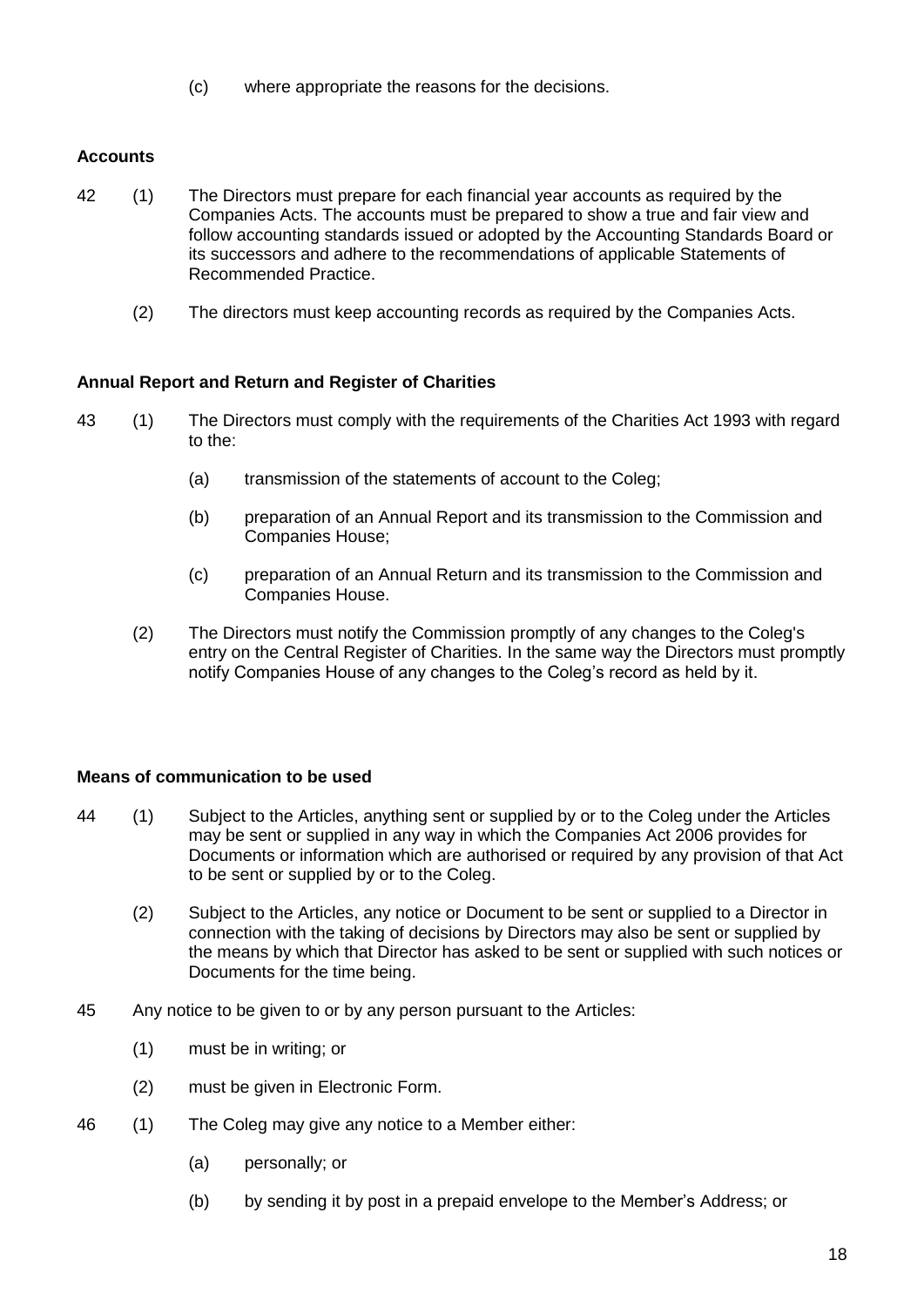(c) where appropriate the reasons for the decisions.

# **Accounts**

- 42 (1) The Directors must prepare for each financial year accounts as required by the Companies Acts. The accounts must be prepared to show a true and fair view and follow accounting standards issued or adopted by the Accounting Standards Board or its successors and adhere to the recommendations of applicable Statements of Recommended Practice.
	- (2) The directors must keep accounting records as required by the Companies Acts.

# **Annual Report and Return and Register of Charities**

- 43 (1) The Directors must comply with the requirements of the Charities Act 1993 with regard to the:
	- (a) transmission of the statements of account to the Coleg;
	- (b) preparation of an Annual Report and its transmission to the Commission and Companies House;
	- (c) preparation of an Annual Return and its transmission to the Commission and Companies House.
	- (2) The Directors must notify the Commission promptly of any changes to the Coleg's entry on the Central Register of Charities. In the same way the Directors must promptly notify Companies House of any changes to the Coleg's record as held by it.

## **Means of communication to be used**

- 44 (1) Subject to the Articles, anything sent or supplied by or to the Coleg under the Articles may be sent or supplied in any way in which the Companies Act 2006 provides for Documents or information which are authorised or required by any provision of that Act to be sent or supplied by or to the Coleg.
	- (2) Subject to the Articles, any notice or Document to be sent or supplied to a Director in connection with the taking of decisions by Directors may also be sent or supplied by the means by which that Director has asked to be sent or supplied with such notices or Documents for the time being.
- 45 Any notice to be given to or by any person pursuant to the Articles:
	- (1) must be in writing; or
	- (2) must be given in Electronic Form.
- 46 (1) The Coleg may give any notice to a Member either:
	- (a) personally; or
	- (b) by sending it by post in a prepaid envelope to the Member's Address; or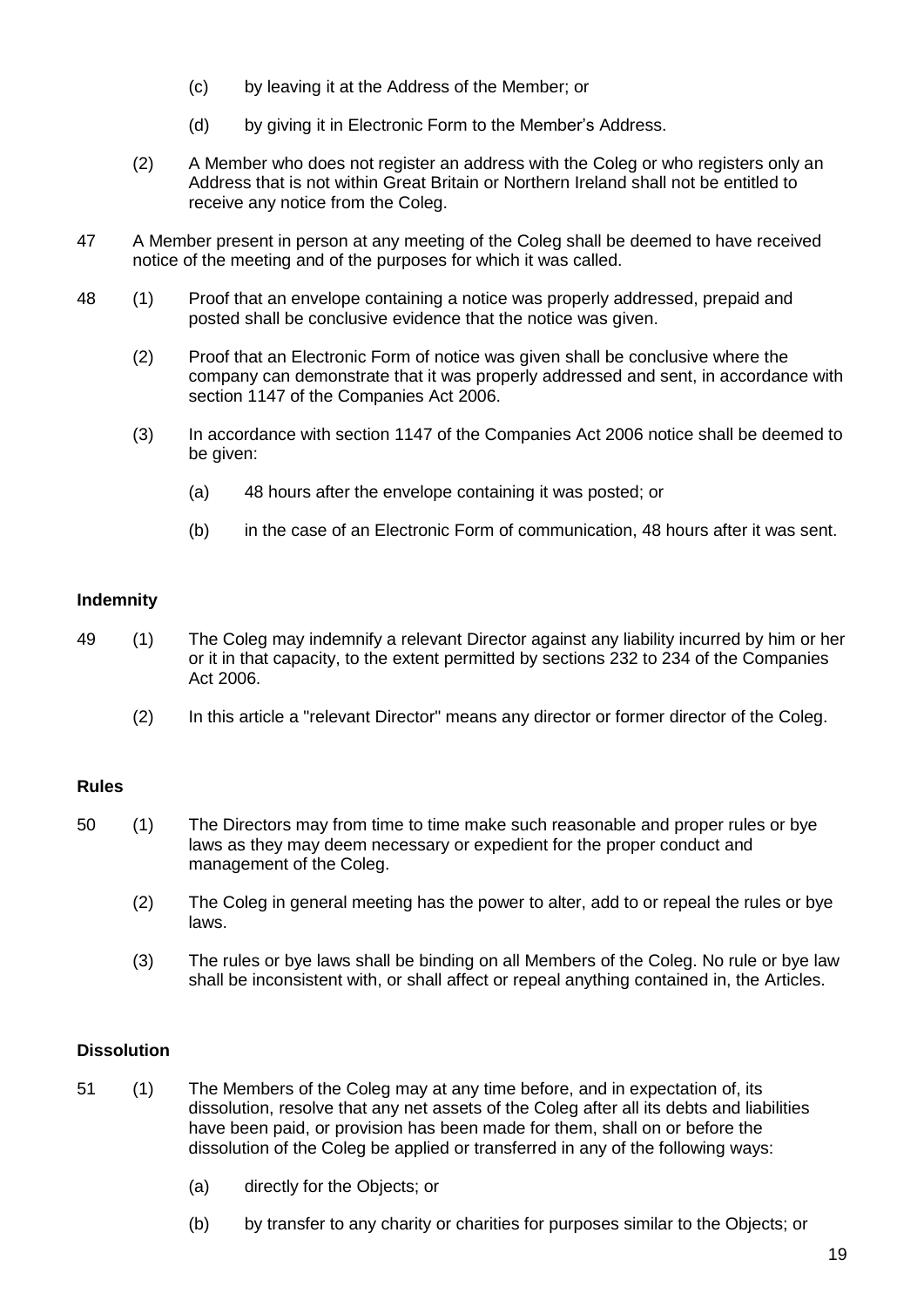- (c) by leaving it at the Address of the Member; or
- (d) by giving it in Electronic Form to the Member's Address.
- (2) A Member who does not register an address with the Coleg or who registers only an Address that is not within Great Britain or Northern Ireland shall not be entitled to receive any notice from the Coleg.
- 47 A Member present in person at any meeting of the Coleg shall be deemed to have received notice of the meeting and of the purposes for which it was called.
- 48 (1) Proof that an envelope containing a notice was properly addressed, prepaid and posted shall be conclusive evidence that the notice was given.
	- (2) Proof that an Electronic Form of notice was given shall be conclusive where the company can demonstrate that it was properly addressed and sent, in accordance with section 1147 of the Companies Act 2006.
	- (3) In accordance with section 1147 of the Companies Act 2006 notice shall be deemed to be given:
		- (a) 48 hours after the envelope containing it was posted; or
		- (b) in the case of an Electronic Form of communication, 48 hours after it was sent.

## **Indemnity**

- 49 (1) The Coleg may indemnify a relevant Director against any liability incurred by him or her or it in that capacity, to the extent permitted by sections 232 to 234 of the Companies Act 2006.
	- (2) In this article a "relevant Director" means any director or former director of the Coleg.

## **Rules**

- 50 (1) The Directors may from time to time make such reasonable and proper rules or bye laws as they may deem necessary or expedient for the proper conduct and management of the Coleg.
	- (2) The Coleg in general meeting has the power to alter, add to or repeal the rules or bye laws.
	- (3) The rules or bye laws shall be binding on all Members of the Coleg. No rule or bye law shall be inconsistent with, or shall affect or repeal anything contained in, the Articles.

## **Dissolution**

- 51 (1) The Members of the Coleg may at any time before, and in expectation of, its dissolution, resolve that any net assets of the Coleg after all its debts and liabilities have been paid, or provision has been made for them, shall on or before the dissolution of the Coleg be applied or transferred in any of the following ways:
	- (a) directly for the Objects; or
	- (b) by transfer to any charity or charities for purposes similar to the Objects; or